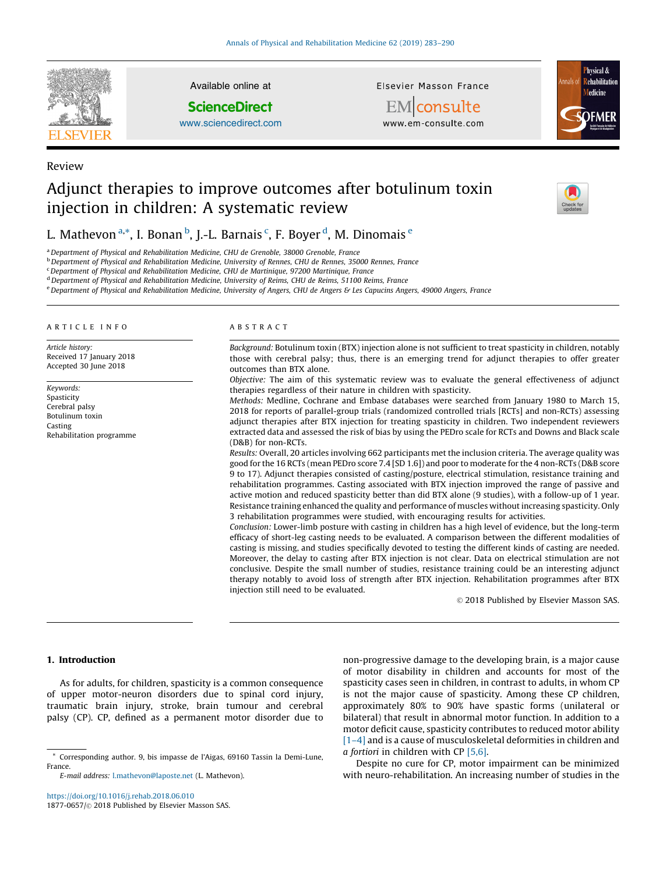

Review

Available online at

**ScienceDirect** 

[www.sciencedirect.com](http://www.sciencedirect.com/science/journal/18770657)

Elsevier Masson France

EMconsulte www.em-consulte.com



# Adjunct therapies to improve outcomes after botulinum toxin injection in children: A systematic review



# L. Mathevon <sup>a,</sup>\*, I. Bonan <sup>b</sup>, J.-L. Barnais <sup>c</sup>, F. Boyer <sup>d</sup>, M. Dinomais <sup>e</sup>

a Department of Physical and Rehabilitation Medicine, CHU de Grenoble, 38000 Grenoble, France

<sup>b</sup> Department of Physical and Rehabilitation Medicine, University of Rennes, CHU de Rennes, 35000 Rennes, France

<sup>c</sup>Department of Physical and Rehabilitation Medicine, CHU de Martinique, 97200 Martinique, France

<sup>d</sup> Department of Physical and Rehabilitation Medicine, University of Reims, CHU de Reims, 51100 Reims, France

e Department of Physical and Rehabilitation Medicine, University of Angers, CHU de Angers & Les Capucins Angers, 49000 Angers, France

#### ARTICLE INFO

Article history: Received 17 January 2018 Accepted 30 June 2018

Keywords: Spasticity Cerebral palsy Botulinum toxin Casting Rehabilitation programme

#### ABSTRACT

Background: Botulinum toxin (BTX) injection alone is not sufficient to treat spasticity in children, notably those with cerebral palsy; thus, there is an emerging trend for adjunct therapies to offer greater outcomes than BTX alone.

Objective: The aim of this systematic review was to evaluate the general effectiveness of adjunct therapies regardless of their nature in children with spasticity.

Methods: Medline, Cochrane and Embase databases were searched from January 1980 to March 15, 2018 for reports of parallel-group trials (randomized controlled trials [RCTs] and non-RCTs) assessing adjunct therapies after BTX injection for treating spasticity in children. Two independent reviewers extracted data and assessed the risk of bias by using the PEDro scale for RCTs and Downs and Black scale (D&B) for non-RCTs.

Results: Overall, 20 articles involving 662 participants met the inclusion criteria. The average quality was good for the 16 RCTs (mean PEDro score 7.4 [SD 1.6]) and poor to moderate for the 4 non-RCTs (D&B score 9 to 17). Adjunct therapies consisted of casting/posture, electrical stimulation, resistance training and rehabilitation programmes. Casting associated with BTX injection improved the range of passive and active motion and reduced spasticity better than did BTX alone (9 studies), with a follow-up of 1 year. Resistance training enhanced the quality and performance of muscles without increasing spasticity. Only 3 rehabilitation programmes were studied, with encouraging results for activities.

Conclusion: Lower-limb posture with casting in children has a high level of evidence, but the long-term efficacy of short-leg casting needs to be evaluated. A comparison between the different modalities of casting is missing, and studies specifically devoted to testing the different kinds of casting are needed. Moreover, the delay to casting after BTX injection is not clear. Data on electrical stimulation are not conclusive. Despite the small number of studies, resistance training could be an interesting adjunct therapy notably to avoid loss of strength after BTX injection. Rehabilitation programmes after BTX injection still need to be evaluated.

© 2018 Published by Elsevier Masson SAS.

### 1. Introduction

As for adults, for children, spasticity is a common consequence of upper motor-neuron disorders due to spinal cord injury, traumatic brain injury, stroke, brain tumour and cerebral palsy (CP). CP, defined as a permanent motor disorder due to

\* Corresponding author. 9, bis impasse de l'Aigas, 69160 Tassin la Demi-Lune, France.

E-mail address: [l.mathevon@laposte.net](mailto:l.mathevon@laposte.net) (L. Mathevon).

<https://doi.org/10.1016/j.rehab.2018.06.010> 1877-0657/© 2018 Published by Elsevier Masson SAS. non-progressive damage to the developing brain, is a major cause of motor disability in children and accounts for most of the spasticity cases seen in children, in contrast to adults, in whom CP is not the major cause of spasticity. Among these CP children, approximately 80% to 90% have spastic forms (unilateral or bilateral) that result in abnormal motor function. In addition to a motor deficit cause, spasticity contributes to reduced motor ability [1-4] and is a cause of musculoskeletal deformities in children and *a fortiori* in children with CP  $[5,6]$ .

Despite no cure for CP, motor impairment can be minimized with neuro-rehabilitation. An increasing number of studies in the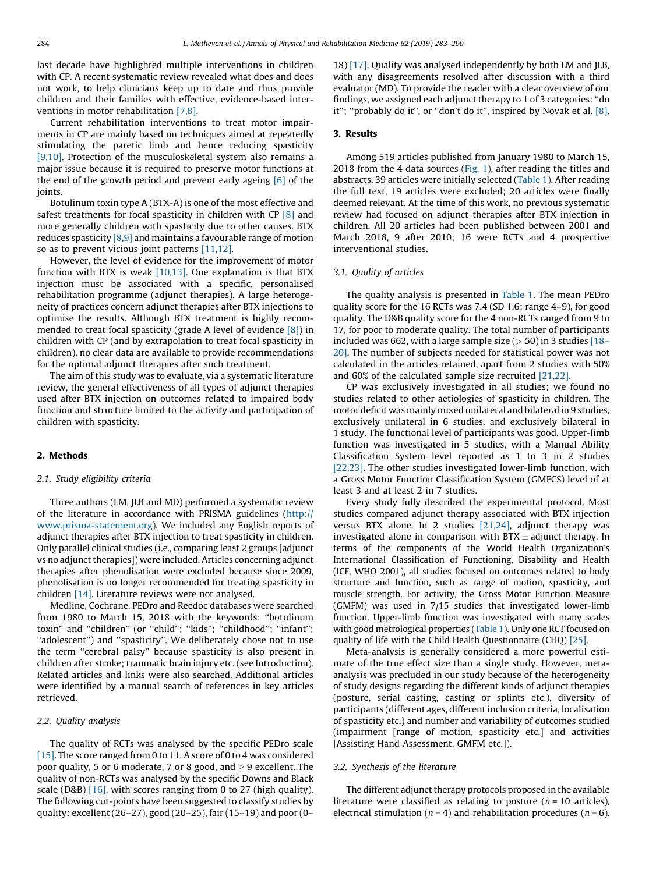last decade have highlighted multiple interventions in children with CP. A recent systematic review revealed what does and does not work, to help clinicians keep up to date and thus provide children and their families with effective, evidence-based interventions in motor rehabilitation [\[7,8\]](#page-7-0).

Current rehabilitation interventions to treat motor impairments in CP are mainly based on techniques aimed at repeatedly stimulating the paretic limb and hence reducing spasticity [\[9,10\]](#page-7-0). Protection of the musculoskeletal system also remains a major issue because it is required to preserve motor functions at the end of the growth period and prevent early ageing  $[6]$  of the joints.

Botulinum toxin type A (BTX-A) is one of the most effective and safest treatments for focal spasticity in children with CP [\[8\]](#page-7-0) and more generally children with spasticity due to other causes. BTX reduces spasticity [\[8,9\]](#page-7-0) and maintains a favourable range of motion so as to prevent vicious joint patterns [\[11,12\]](#page-7-0).

However, the level of evidence for the improvement of motor function with BTX is weak  $[10,13]$ . One explanation is that BTX injection must be associated with a specific, personalised rehabilitation programme (adjunct therapies). A large heterogeneity of practices concern adjunct therapies after BTX injections to optimise the results. Although BTX treatment is highly recommended to treat focal spasticity (grade A level of evidence [\[8\]\)](#page-7-0) in children with CP (and by extrapolation to treat focal spasticity in children), no clear data are available to provide recommendations for the optimal adjunct therapies after such treatment.

The aim of this study was to evaluate, via a systematic literature review, the general effectiveness of all types of adjunct therapies used after BTX injection on outcomes related to impaired body function and structure limited to the activity and participation of children with spasticity.

#### 2. Methods

#### 2.1. Study eligibility criteria

Three authors (LM, JLB and MD) performed a systematic review of the literature in accordance with PRISMA guidelines [\(http://](http://www.prisma-statement.org/) [www.prisma-statement.org](http://www.prisma-statement.org/)). We included any English reports of adjunct therapies after BTX injection to treat spasticity in children. Only parallel clinical studies (i.e., comparing least 2 groups [adjunct vs no adjunct therapies]) were included. Articles concerning adjunct therapies after phenolisation were excluded because since 2009, phenolisation is no longer recommended for treating spasticity in children [\[14\].](#page-7-0) Literature reviews were not analysed.

Medline, Cochrane, PEDro and Reedoc databases were searched from 1980 to March 15, 2018 with the keywords: ''botulinum toxin'' and ''children'' (or ''child''; ''kids''; ''childhood''; ''infant''; "adolescent") and "spasticity". We deliberately chose not to use the term ''cerebral palsy'' because spasticity is also present in children after stroke; traumatic brain injury etc. (see Introduction). Related articles and links were also searched. Additional articles were identified by a manual search of references in key articles retrieved.

#### 2.2. Quality analysis

The quality of RCTs was analysed by the specific PEDro scale [\[15\]](#page-7-0). The score ranged from 0 to 11. A score of 0 to 4 was considered poor quality, 5 or 6 moderate, 7 or 8 good, and  $\geq$  9 excellent. The quality of non-RCTs was analysed by the specific Downs and Black scale (D&B) [\[16\]](#page-7-0), with scores ranging from 0 to 27 (high quality). The following cut-points have been suggested to classify studies by quality: excellent (26–27), good (20–25), fair (15–19) and poor (0– 18) [\[17\]](#page-7-0). Quality was analysed independently by both LM and JLB, with any disagreements resolved after discussion with a third evaluator (MD). To provide the reader with a clear overview of our findings, we assigned each adjunct therapy to 1 of 3 categories: ''do it"; "probably do it", or "don't do it", inspired by Novak et al. [\[8\].](#page-7-0)

#### 3. Results

Among 519 articles published from January 1980 to March 15, 2018 from the 4 data sources [\(Fig. 1\)](#page-2-0), after reading the titles and abstracts, 39 articles were initially selected [\(Table 1](#page-3-0)). After reading the full text, 19 articles were excluded; 20 articles were finally deemed relevant. At the time of this work, no previous systematic review had focused on adjunct therapies after BTX injection in children. All 20 articles had been published between 2001 and March 2018, 9 after 2010; 16 were RCTs and 4 prospective interventional studies.

#### 3.1. Quality of articles

The quality analysis is presented in [Table 1](#page-3-0). The mean PEDro quality score for the 16 RCTs was 7.4 (SD 1.6; range 4–9), for good quality. The D&B quality score for the 4 non-RCTs ranged from 9 to 17, for poor to moderate quality. The total number of participants included was 662, with a large sample size  $(> 50)$  in 3 studies [\[18–](#page-7-0) [20\]](#page-7-0). The number of subjects needed for statistical power was not calculated in the articles retained, apart from 2 studies with 50% and 60% of the calculated sample size recruited [\[21,22\].](#page-7-0)

CP was exclusively investigated in all studies; we found no studies related to other aetiologies of spasticity in children. The motor deficit was mainly mixed unilateral and bilateral in 9 studies, exclusively unilateral in 6 studies, and exclusively bilateral in 1 study. The functional level of participants was good. Upper-limb function was investigated in 5 studies, with a Manual Ability Classification System level reported as 1 to 3 in 2 studies [\[22,23\].](#page-7-0) The other studies investigated lower-limb function, with a Gross Motor Function Classification System (GMFCS) level of at least 3 and at least 2 in 7 studies.

Every study fully described the experimental protocol. Most studies compared adjunct therapy associated with BTX injection versus BTX alone. In 2 studies [\[21,24\],](#page-7-0) adjunct therapy was investigated alone in comparison with  $BTX \pm adjunct$  therapy. In terms of the components of the World Health Organization's International Classification of Functioning, Disability and Health (ICF, WHO 2001), all studies focused on outcomes related to body structure and function, such as range of motion, spasticity, and muscle strength. For activity, the Gross Motor Function Measure (GMFM) was used in 7/15 studies that investigated lower-limb function. Upper-limb function was investigated with many scales with good metrological properties [\(Table 1\)](#page-3-0). Only one RCT focused on quality of life with the Child Health Questionnaire (CHQ) [\[25\]](#page-7-0).

Meta-analysis is generally considered a more powerful estimate of the true effect size than a single study. However, metaanalysis was precluded in our study because of the heterogeneity of study designs regarding the different kinds of adjunct therapies (posture, serial casting, casting or splints etc.), diversity of participants (different ages, different inclusion criteria, localisation of spasticity etc.) and number and variability of outcomes studied (impairment [range of motion, spasticity etc.] and activities [Assisting Hand Assessment, GMFM etc.]).

#### 3.2. Synthesis of the literature

The different adjunct therapy protocols proposed in the available literature were classified as relating to posture ( $n = 10$  articles), electrical stimulation ( $n = 4$ ) and rehabilitation procedures ( $n = 6$ ).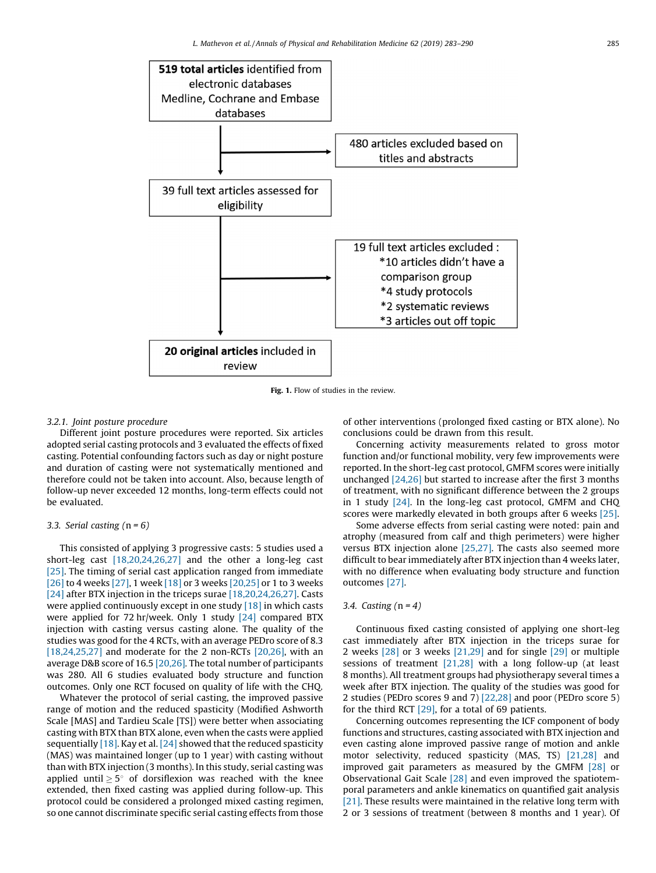<span id="page-2-0"></span>

Fig. 1. Flow of studies in the review.

### 3.2.1. Joint posture procedure

Different joint posture procedures were reported. Six articles adopted serial casting protocols and 3 evaluated the effects of fixed casting. Potential confounding factors such as day or night posture and duration of casting were not systematically mentioned and therefore could not be taken into account. Also, because length of follow-up never exceeded 12 months, long-term effects could not be evaluated.

## 3.3. Serial casting  $(n = 6)$

This consisted of applying 3 progressive casts: 5 studies used a short-leg cast [\[18,20,24,26,27\]](#page-7-0) and the other a long-leg cast [\[25\]](#page-7-0). The timing of serial cast application ranged from immediate [\[26\]](#page-7-0) to 4 weeks [\[27\]](#page-7-0), 1 week [\[18\]](#page-7-0) or 3 weeks [\[20,25\]](#page-7-0) or 1 to 3 weeks [\[24\]](#page-7-0) after BTX injection in the triceps surae [\[18,20,24,26,27\].](#page-7-0) Casts were applied continuously except in one study [\[18\]](#page-7-0) in which casts were applied for 72 hr/week. Only 1 study [\[24\]](#page-7-0) compared BTX injection with casting versus casting alone. The quality of the studies was good for the 4 RCTs, with an average PEDro score of 8.3 [\[18,24,25,27\]](#page-7-0) and moderate for the 2 non-RCTs  $[20,26]$ , with an average D&B score of 16.5 [\[20,26\]](#page-7-0). The total number of participants was 280. All 6 studies evaluated body structure and function outcomes. Only one RCT focused on quality of life with the CHQ.

Whatever the protocol of serial casting, the improved passive range of motion and the reduced spasticity (Modified Ashworth Scale [MAS] and Tardieu Scale [TS]) were better when associating casting with BTX than BTX alone, even when the casts were applied sequentially  $[18]$ . Kay et al.  $[24]$  showed that the reduced spasticity (MAS) was maintained longer (up to 1 year) with casting without than with BTX injection (3 months). In this study, serial casting was applied until  $\geq 5^{\circ}$  of dorsiflexion was reached with the knee extended, then fixed casting was applied during follow-up. This protocol could be considered a prolonged mixed casting regimen, so one cannot discriminate specific serial casting effects from those

of other interventions (prolonged fixed casting or BTX alone). No conclusions could be drawn from this result.

Concerning activity measurements related to gross motor function and/or functional mobility, very few improvements were reported. In the short-leg cast protocol, GMFM scores were initially unchanged [\[24,26\]](#page-7-0) but started to increase after the first 3 months of treatment, with no significant difference between the 2 groups in 1 study [\[24\]](#page-7-0). In the long-leg cast protocol, GMFM and CHQ scores were markedly elevated in both groups after 6 weeks [\[25\].](#page-7-0)

Some adverse effects from serial casting were noted: pain and atrophy (measured from calf and thigh perimeters) were higher versus BTX injection alone [\[25,27\]](#page-7-0). The casts also seemed more difficult to bear immediately after BTX injection than 4 weeks later, with no difference when evaluating body structure and function outcomes [\[27\]](#page-7-0).

## 3.4. Casting  $(n = 4)$

Continuous fixed casting consisted of applying one short-leg cast immediately after BTX injection in the triceps surae for 2 weeks [\[28\]](#page-7-0) or 3 weeks [\[21,29\]](#page-7-0) and for single [\[29\]](#page-7-0) or multiple sessions of treatment [\[21,28\]](#page-7-0) with a long follow-up (at least 8 months). All treatment groups had physiotherapy several times a week after BTX injection. The quality of the studies was good for 2 studies (PEDro scores 9 and 7) [\[22,28\]](#page-7-0) and poor (PEDro score 5) for the third RCT  $[29]$ , for a total of 69 patients.

Concerning outcomes representing the ICF component of body functions and structures, casting associated with BTX injection and even casting alone improved passive range of motion and ankle motor selectivity, reduced spasticity (MAS, TS) [\[21,28\]](#page-7-0) and improved gait parameters as measured by the GMFM [\[28\]](#page-7-0) or Observational Gait Scale [\[28\]](#page-7-0) and even improved the spatiotemporal parameters and ankle kinematics on quantified gait analysis [\[21\]](#page-7-0). These results were maintained in the relative long term with 2 or 3 sessions of treatment (between 8 months and 1 year). Of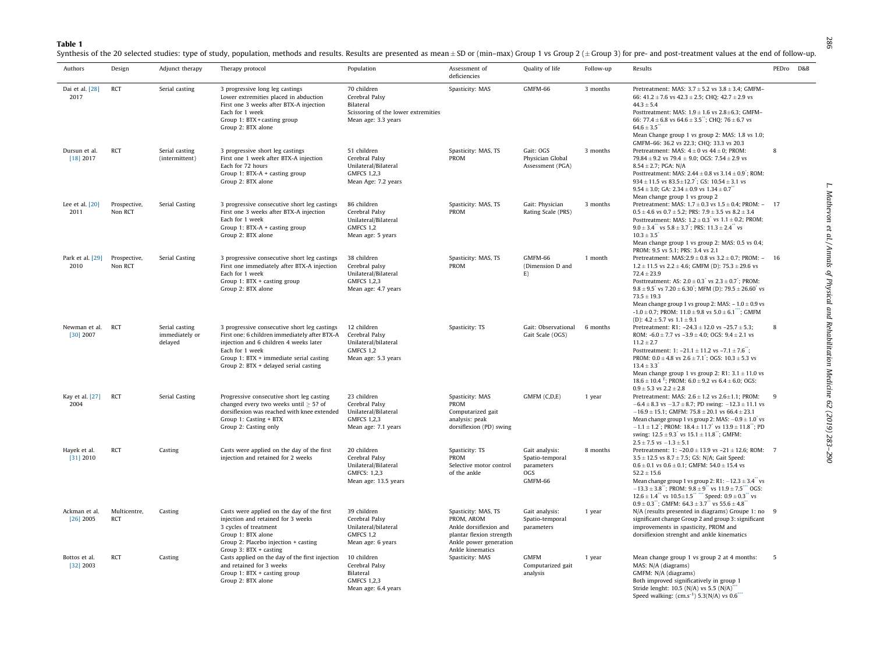<span id="page-3-0"></span>Table 1

Synthesis of the 20 selected studies: type of study, population, methods and results. Results are presented as mean  $\pm$  SD or (min-max) Group 1 vs Group 2 ( $\pm$  Group 3) for pre- and post-treatment values at the end of f

| Authors                      | Design                     | Adjunct therapy                             | Therapy protocol                                                                                                                                                                                                                               | Population                                                                                               | Assessment of<br>deficiencies                                                                                                         | Quality of life                                                   | Follow-up | Results                                                                                                                                                                                                                                                                                                                                                                                                                                                                  | PEDro | D&B |
|------------------------------|----------------------------|---------------------------------------------|------------------------------------------------------------------------------------------------------------------------------------------------------------------------------------------------------------------------------------------------|----------------------------------------------------------------------------------------------------------|---------------------------------------------------------------------------------------------------------------------------------------|-------------------------------------------------------------------|-----------|--------------------------------------------------------------------------------------------------------------------------------------------------------------------------------------------------------------------------------------------------------------------------------------------------------------------------------------------------------------------------------------------------------------------------------------------------------------------------|-------|-----|
| Dai et al. [28]<br>2017      | <b>RCT</b>                 | Serial casting                              | 3 progressive long leg castings<br>Lower extremities placed in abduction<br>First one 3 weeks after BTX-A injection<br>Each for 1 week<br>Group 1: BTX + casting group<br>Group 2: BTX alone                                                   | 70 children<br>Cerebral Palsy<br>Bilateral<br>Scissoring of the lower extremities<br>Mean age: 3.3 years | Spasticity: MAS                                                                                                                       | GMFM-66                                                           | 3 months  | Pretreatment: MAS: $3.7 \pm 5.2$ vs $3.8 \pm 3.4$ ; GMFM-<br>66: 41.2 ± 7.6 vs 42.3 ± 2.5; CHQ: 42.7 ± 2.9 vs<br>$44.3 \pm 5.4$<br>Posttreatment: MAS: $1.9 \pm 1.6$ vs $2.8 \pm 6.3$ ; GMFM-<br>66: 77.4 $\pm$ 6.8 vs 64.6 $\pm$ 3.5"; CHQ: 76 $\pm$ 6.7 vs<br>$64.6 \pm 3.5$<br>Mean Change group 1 vs group 2: MAS: 1.8 vs 1.0;                                                                                                                                       |       |     |
| Dursun et al.<br>$[18]$ 2017 | <b>RCT</b>                 | Serial casting<br>(intermittent)            | 3 progressive short leg castings<br>First one 1 week after BTX-A injection<br>Each for 72 hours<br>Group 1: BTX-A + casting group<br>Group 2: BTX alone                                                                                        | 51 children<br>Cerebral Palsy<br>Unilateral/Bilateral<br>GMFCS 1,2,3<br>Mean Age: 7.2 years              | Spasticity: MAS, TS<br>PROM                                                                                                           | Gait: OGS<br>Physician Global<br>Assessment (PGA)                 | 3 months  | GMFM-66: 36.2 vs 22.3; CHQ: 33.3 vs 20.3<br>Pretreatment: MAS: $4 \pm 0$ vs $44 \pm 0$ ; PROM:<br>79.84 ± 9.2 vs 79.4 ± 9.0; OGS: $7.54 \pm 2.9$ vs<br>$8.54 \pm 2.7$ : PGA: N/A<br>Posttreatment: MAS: $2.44 \pm 0.8$ vs $3.14 \pm 0.9$ ; ROM:<br>$934 \pm 11.5$ vs $83.5 \pm 12.7$ ; GS: $10.54 \pm 3.1$ vs<br>$9.54 \pm 3.0$ ; GA: $2.34 \pm 0.9$ vs $1.34 \pm 0.7$<br>Mean change group 1 vs group 2                                                                 | 8     |     |
| Lee et al. $[20]$<br>2011    | Prospective,<br>Non RCT    | Serial Casting                              | 3 progressive consecutive short leg castings<br>First one 3 weeks after BTX-A injection<br>Each for 1 week<br>Group 1: BTX-A + casting group<br>Group 2: BTX alone                                                                             | 86 children<br>Cerebral Palsy<br>Unilateral/Bilateral<br>GMFCS 1,2<br>Mean age: 5 years                  | Spasticity: MAS, TS<br>PROM                                                                                                           | Gait: Physician<br>Rating Scale (PRS)                             | 3 months  | Pretreatment: MAS: $1.7 \pm 0.3$ vs $1.5 \pm 0.4$ ; PROM: - 17<br>$0.5 \pm 4.6$ vs $0.7 \pm 5.2$ ; PRS: $7.9 \pm 3.5$ vs $8.2 \pm 3.4$<br>Posttreatment: MAS: $1.2 \pm 0.3$ vs $1.1 \pm 0.2$ ; PROM:<br>$9.0 \pm 3.4$ vs $5.8 \pm 3.7$ ; PRS: $11.3 \pm 2.4$ vs<br>$10.3 \pm 3.5$<br>Mean change group 1 vs group 2: MAS: 0.5 vs 0.4;<br>PROM: 9.5 vs 5.1: PRS: 3.4 vs 2.1                                                                                               |       |     |
| Park et al. [29]<br>2010     | Prospective,<br>Non RCT    | <b>Serial Casting</b>                       | 3 progressive consecutive short leg castings<br>First one immediately after BTX-A injection<br>Each for 1 week<br>Group 1: BTX + casting group<br>Group 2: BTX alone                                                                           | 38 children<br>Cerebral palsy<br>Unilateral/Bilateral<br><b>GMFCS 1.2.3</b><br>Mean age: 4.7 years       | Spasticity: MAS, TS<br>PROM                                                                                                           | GMFM-66<br>(Dimension D and<br>E)                                 | 1 month   | Pretreatment: MAS: $2.9 \pm 0.8$ vs $3.2 \pm 0.7$ ; PROM: - 16<br>$1.2 \pm 11.5$ vs $2.2 \pm 4.6$ ; GMFM (D): 75.3 $\pm$ 29.6 vs<br>$72.4 \pm 23.9$<br>Posttreatment: AS: $2.0 \pm 0.3$ vs $2.3 \pm 0.7$ ; PROM:<br>$9.8 \pm 9.5$ vs $7.20 \pm 6.30$ ; MFM (D): $79.5 \pm 26.60$ vs<br>$73.5 \pm 19.3$<br>Mean change group 1 vs group 2: MAS: $-1.0 \pm 0.9$ vs<br>$-1.0 \pm 0.7$ ; PROM: $11.0 \pm 9.8$ vs $5.0 \pm 6.1$ ; GMFM<br>(D): $4.2 \pm 5.7$ vs $1.1 \pm 9.1$ |       |     |
| Newman et al.<br>$[30]$ 2007 | <b>RCT</b>                 | Serial casting<br>immediately or<br>delayed | 3 progressive consecutive short leg castings<br>First one: 6 children immediately after BTX-A<br>injection and 6 children 4 weeks later<br>Each for 1 week<br>Group 1: BTX + immediate serial casting<br>Group 2: BTX + delayed serial casting | 12 children<br>Cerebral Palsy<br>Unilateral/bilateral<br>GMFCS 1,2<br>Mean age: 5.3 years                | Spasticity: TS                                                                                                                        | Gait: Observational<br>Gait Scale (OGS)                           | 6 months  | Pretreatment: R1: $-24.3 \pm 12.0$ vs $-25.7 \pm 5.3$ ;<br>ROM: $-6.0 \pm 7.7$ vs $-3.9 \pm 4.0$ ; OGS: $9.4 \pm 2.1$ vs<br>$11.2 \pm 2.7$<br>Posttreatment: 1: $-21.1 \pm 11.2$ vs $-7.1 \pm 7.6$ ;<br>PROM: $0.0 \pm 4.8$ vs $2.6 \pm 7.1$ ; OGS: $10.3 \pm 5.3$ vs<br>$13.4 \pm 3.3$<br>Mean change group 1 vs group 2: R1: $3.1 \pm 11.0$ vs<br>$18.6 \pm 10.4$ <sup>T</sup> ; PROM: $6.0 \pm 9.2$ vs $6.4 \pm 6.0$ ; OGS:<br>$0.9 \pm 5.3$ vs $2.2 \pm 2.8$         | 8     |     |
| Kay et al. [27]<br>2004      | RCT                        | Serial Casting                              | Progressive consecutive short leg casting<br>changed every two weeks until $\geq$ 5? of<br>dorsiflexion was reached with knee extended<br>Group 1: Casting + BTX<br>Group 2: Casting only                                                      | 23 children<br>Cerebral Palsy<br>Unilateral/Bilateral<br><b>GMFCS 1.2.3</b><br>Mean age: 7.1 years       | Spasticity: MAS<br><b>PROM</b><br>Computarized gait<br>analysis: peak<br>dorsiflexion (PD) swing                                      | GMFM (C,D,E)                                                      | 1 year    | Pretreatment: MAS: $2.6 \pm 1.2$ vs $2.6 \pm 1.1$ ; PROM:<br>$-6.4 \pm 8.3$ vs $-3.7 \pm 8.7$ ; PD swing: $-12.3 \pm 11.1$ vs<br>$-16.9 \pm 15.1$ ; GMFM: 75.8 $\pm$ 20.1 vs 66.4 $\pm$ 23.1<br>Mean change group 1 vs group 2: MAS: $-0.9 \pm 1.0$ vs<br>$-1.1 \pm 1.2$ ; PROM: $18.4 \pm 11.7$ vs $13.9 \pm 11.8$ ; PD<br>swing: $12.5 \pm 9.3$ vs $15.1 \pm 11.8$ ; GMFM:<br>$2.5 \pm 7.5$ vs $-1.3 \pm 5.1$                                                          | 9     |     |
| Hayek et al.<br>[31] 2010    | RCT                        | Casting                                     | Casts were applied on the day of the first<br>injection and retained for 2 weeks                                                                                                                                                               | 20 children<br>Cerebral Palsy<br>Unilateral/Bilateral<br>GMFCS: 1.2.3<br>Mean age: 13.5 years            | Spasticity: TS<br><b>PROM</b><br>Selective motor control<br>of the ankle                                                              | Gait analysis:<br>Spatio-temporal<br>parameters<br>OGS<br>GMFM-66 | 8 months  | Pretreatment: 1: -20.0 ± 13.9 vs -21 ± 12.6; ROM: 7<br>$3.5 \pm 12.5$ vs $8.7 \pm 7.5$ ; GS: N/A; Gait Speed:<br>$0.6 \pm 0.1$ vs $0.6 \pm 0.1$ ; GMFM: 54.0 $\pm$ 15.4 vs<br>$52.2 \pm 15.6$<br>Mean change group 1 vs group 2: R1: $-12.3 \pm 3.4$ " vs<br>$-13.3 \pm 3.8$ ; PROM: $9.8 \pm 9$ vs $11.9 \pm 7.5$ OGS:<br>$12.6 \pm 1.4$ vs $10.5 \pm 1.5$ Speed: $0.9 \pm 0.3$ vs<br>$0.9 \pm 0.3$ ; GMFM: 64.3 $\pm$ 3.7° vs 55.6 $\pm$ 4.8°                          |       |     |
| Ackman et al.<br>$[26]$ 2005 | Multicentre,<br><b>RCT</b> | Casting                                     | Casts were applied on the day of the first<br>injection and retained for 3 weeks<br>3 cycles of treatment<br>Group 1: BTX alone<br>Group 2: Placebo injection + casting<br>Group 3: BTX + casting                                              | 39 children<br>Cerebral Palsy<br>Unilateral/bilateral<br>GMFCS 1,2<br>Mean age: 6 years                  | Spasticity: MAS, TS<br>PROM, AROM<br>Ankle dorsiflexion and<br>plantar flexion strength<br>Ankle power generation<br>Ankle kinematics | Gait analysis:<br>Spatio-temporal<br>parameters                   | 1 year    | N/A (results presented in diagrams) Groupe 1: no 9<br>significant change Group 2 and group 3: significant<br>improvements in spasticity, PROM and<br>dorsiflexion strenght and ankle kinematics                                                                                                                                                                                                                                                                          |       |     |
| Bottos et al.<br>$[32]$ 2003 | RCT                        | Casting                                     | Casts applied on the day of the first injection<br>and retained for 3 weeks<br>Group 1: BTX + casting group<br>Group 2: BTX alone                                                                                                              | 10 children<br>Cerebral Palsy<br>Bilateral<br><b>GMFCS 1.2.3</b><br>Mean age: 6.4 years                  | Spasticity: MAS                                                                                                                       | GMFM<br>Computarized gait<br>analysis                             | 1 year    | Mean change group 1 vs group 2 at 4 months:<br>MAS: N/A (diagrams)<br>GMFM: N/A (diagrams)<br>Both improved significatively in group 1<br>Stride lenght: 10.5 (N/A) vs 5.5 (N/A)"<br>Speed walking: $(cm.s^{-1})$ 5.3(N/A) vs $0.6$                                                                                                                                                                                                                                      | -5    |     |

286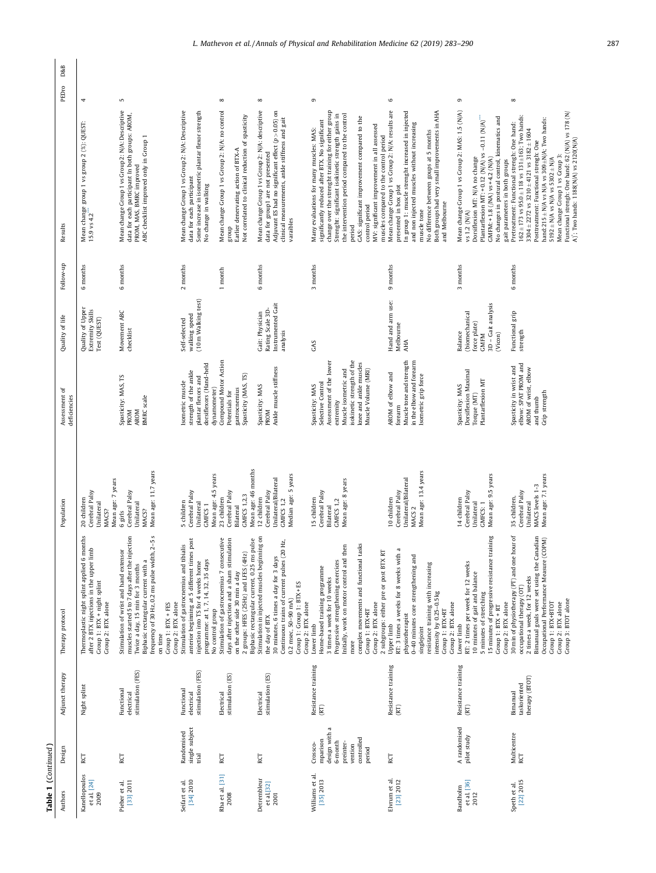| D&B<br>PEDro                  | 4                                                                                                                                            | S                                                                                                                                                                                                                                                      |                                                                                                                                                                                                 |                                                                | ${}^{\circ}$                                                                                                                                           | ${}^{\circ}$                                                                                                                                                                                                                   | G                                                                                                                                                                                                                                                                                                                                                                                                                              | $\circ$                                                                                                                                                                                                                                                                                                    | G                                                                                                                                                                                                                                                                              |
|-------------------------------|----------------------------------------------------------------------------------------------------------------------------------------------|--------------------------------------------------------------------------------------------------------------------------------------------------------------------------------------------------------------------------------------------------------|-------------------------------------------------------------------------------------------------------------------------------------------------------------------------------------------------|----------------------------------------------------------------|--------------------------------------------------------------------------------------------------------------------------------------------------------|--------------------------------------------------------------------------------------------------------------------------------------------------------------------------------------------------------------------------------|--------------------------------------------------------------------------------------------------------------------------------------------------------------------------------------------------------------------------------------------------------------------------------------------------------------------------------------------------------------------------------------------------------------------------------|------------------------------------------------------------------------------------------------------------------------------------------------------------------------------------------------------------------------------------------------------------------------------------------------------------|--------------------------------------------------------------------------------------------------------------------------------------------------------------------------------------------------------------------------------------------------------------------------------|
| Results                       | Mean change group 1 vs group 2 (%): QUEST:<br>15.9 vs 4.2                                                                                    | Mean change Group 1 vs Group 2: N/A: Descriptive<br>data for each participant In both groups: AROM,<br>ABC checklist improved only in Group 1<br>PROM, MAS, BMRC improved                                                                              | Mean change Group 1 vs Group 2: N/A: Descriptive<br>Some increase in isometric plantar flexor strength<br>data for each participant<br>No change in walking                                     |                                                                | Mean change Group 1 vs Group 2: N/A: no control<br>Not correlated to clinical reduction of spasticity<br>Earlier denervating action of BTX-A<br>dno.18 | Mean change Group 1 vs Group 2: N/A: descriptive<br>Adjuvant ES had no significant effect $(p > 0.05)$ on<br>clinical measurements, ankle stiffness and gait<br>data for group1 are not presented<br>varaibles                 | change over the strenght training for either group<br>Strenght: significant isokinetic strength gains in<br>the intervention period compared to the control<br>GAS: significant improvement compared to the<br>significantly reduced after BTX. No significant<br>MV: significant improvement in all assessed<br>Many evaluations for many muscles: MAS:<br>muscles compared to the control period<br>control period<br>period | Mean change Group 1 vs Group 2: N/A: results are<br>In group 1: muscle strenght increased in injected<br>Both groups had very small improvements in AHA<br>and non injected muscles without increasing<br>No difference between goups at 5 months<br>presented in box plot<br>and Melbourne<br>muscle tone | Mean change Group 1 vs Group 2: MAS: 1.5 (N/A)<br>Plantarflexion MT: + 0.12 (N/A) vs -0.11 (N/A)<br>No changes in postural control, kinematics and<br>Dorsiflexion MT: N/A no change<br>$GMFM: + 1.8$ $(NA)$ vs +4.2 $(N/A)$<br>gait parameters in both groups<br>vs 1.2 (N/A) |
| Follow-up                     | months<br>$\circ$                                                                                                                            | 6 months                                                                                                                                                                                                                                               | 2 months                                                                                                                                                                                        |                                                                | 1 month                                                                                                                                                | 6 months                                                                                                                                                                                                                       | 3 months                                                                                                                                                                                                                                                                                                                                                                                                                       | 9 months                                                                                                                                                                                                                                                                                                   | 3 months                                                                                                                                                                                                                                                                       |
| Quality of life               | Quality of Upper<br>Extremity Skills<br>Test (QUEST)                                                                                         | Movement ABC<br>checklist                                                                                                                                                                                                                              | (10m Walking test)<br>walking speed<br>Self-selected                                                                                                                                            |                                                                |                                                                                                                                                        | Instrumented Gait<br>Rating Scale 3D-<br>Gait: Physician<br>analysis                                                                                                                                                           | GAS                                                                                                                                                                                                                                                                                                                                                                                                                            | Hand and arm use:<br>Melbourne<br>AHA                                                                                                                                                                                                                                                                      | 3D - Gait analysis<br>(biomechanical<br>force plate)<br>Balance<br>(Vicon)<br><b>GMFM</b>                                                                                                                                                                                      |
| Assessment of<br>deficiencies |                                                                                                                                              | Spasticity: MAS, TS<br><b>BMRC</b> scale<br><b>PROM</b><br><b>AROM</b>                                                                                                                                                                                 | dorsiflexors (Hand-held<br>strength of the ankle<br>plantar flexors and<br>Isometric muscle                                                                                                     | Compound Motor Action<br>dynamometer)                          | Spasticity (MAS, TS)<br>gastrocnemius<br>Potentials for                                                                                                | Ankle muscle stiffness<br>Spasticity: MAS<br>PROM                                                                                                                                                                              | isokinetic strength of the<br>Assessment of the lower<br>knee and ankle muscles<br>Muscle Volume (MRI)<br>Muscle isometric and<br>Selective Control<br>Spasticity: MAS<br>extremity                                                                                                                                                                                                                                            | Muscle tone and strength<br>in the elbow and forearm<br>AROM of elbow and<br>Isometric grip force<br>forearm                                                                                                                                                                                               | Dorsiflexion Maximal<br>Plantarflexion MT<br>Spasticity: MAS<br>Torque (MT)                                                                                                                                                                                                    |
| Population                    | Mean age: 7 years<br>Cerebral Palsy<br>20 children<br>Unilateral<br>MACS?                                                                    | Mean age: 11.7 years<br>Cerebral Palsy<br>Unilateral<br>MACS?<br>6 girls                                                                                                                                                                               | Mean age: 4.5 years<br>Cerebral Palsy<br>5 children<br>Unilateral<br>GMFCS <sub>1</sub>                                                                                                         | 23 children                                                    | Cerebral Palsy<br><b>GMFCS 1,2,3</b><br>Bilateral                                                                                                      | Mean age: 46 months<br>Median age: 5 years<br>Unilateral/Bilateral<br>Cerebral Palsy<br>12 children<br>GMFCS 1,2                                                                                                               | Mean age: 8 years<br>Cerebral Palsy<br>15 children<br>GMFCS 1,2<br>Bilateral                                                                                                                                                                                                                                                                                                                                                   | Mean age: 13.4 years<br>Unilateral/Bilateral<br>Cerebral Palsy<br>10 children<br>MACS <sub>2</sub>                                                                                                                                                                                                         | Mean age: 9.5 years<br>Cerebral Palsy<br>14 children<br>Unilateral<br>GMFCS: 1                                                                                                                                                                                                 |
| Therapy protocol              | Thermoplastic night splint applied 6 months<br>after 2 BTX injections in the upper limb<br>Group 1: BTX + night splint<br>Group 2: BTX alone | frequency of 30 Hz, 0.2 ms pulse width, 2-5 s<br>muscles started 5 to 7 days after the injection<br>Twice a day, 15 min for 3 months<br>Stimulation of wrist and hand extensor<br>Biphasic rectangular current with a<br>Group 1: BTX + FES<br>on time | post<br>Stimulation of gastrocnemius and tibialis<br>anterior beginning at 5 different times<br>programme: at 1, 7, 14, 32, 35 days<br>injection into TS for 4 weeks home<br>Group 2: BTX alone | Stimulation of gastrocnemius 7 consecutive<br>No control group | days after injection and a sham stimulation<br>2 groups: HFES (25Hz) and LFES (4Hz)<br>on the other side 30 min a day                                  | Stimulation in injected muscles beginning on<br>Biphasic rectangular current, 0.25 ms pulse<br>Ηz,<br>Continuous trains of current pulses (20<br>30 minutes, 6 times a day for 3 days<br>0.2 msec, 50-90 mA)<br>the day of BTX | complex movements and functional tasks<br>Initially, work on motor control and then<br>2 subgroups: either pre or post BTX RT<br>Progressive strengthening exercices<br>Home-based training programme<br>3 times a week for 10 weeks<br>$Group 1: Group 1: BIX + ES$<br>$Group 2: BTX alone$<br>Group 2: BTX alone<br>Group 1: BTX+RT<br>Lower limb<br>more                                                                    | RT: 3 times a weeks for 8 weeks with a<br>0-40 minutes core strengthening and<br>resistance training with increasing<br>intensity by 0.25-0.5 kg<br>physiotherapist<br>Upper limb<br>singlejoint                                                                                                           | ining<br>15 minutes of progressive resistance trai<br>RT: 2 times per week for 12 weeks<br>10 minutes of gait and balance<br>5 minutes of stretching<br>Group 1: BTX+RT<br>Group 2: BTX alone<br>Group 2: BTX alone<br>$Group 1: BTX + RT$<br>Lower limb                       |
| Adjunct therapy               | Night splint                                                                                                                                 | stimulation (FES)<br>Functional<br>electrical                                                                                                                                                                                                          | stimulation (FES)<br>Functional<br>electrical                                                                                                                                                   | Electrical                                                     | stimulation (ES)                                                                                                                                       | stimulation (ES)<br>Electrical                                                                                                                                                                                                 | Resistance training<br>(RT)                                                                                                                                                                                                                                                                                                                                                                                                    | Resistance training<br>(RT)                                                                                                                                                                                                                                                                                | Resistance training<br>(RT)                                                                                                                                                                                                                                                    |
| Design                        | RCT                                                                                                                                          | RCT                                                                                                                                                                                                                                                    | single subject<br>Randomised<br><b>Trial</b>                                                                                                                                                    | RCT                                                            |                                                                                                                                                        | RCT                                                                                                                                                                                                                            | design with a<br>controlled<br>mparison<br>6-month<br>preinter-<br>Crossco-<br>vention<br>period                                                                                                                                                                                                                                                                                                                               | RCT                                                                                                                                                                                                                                                                                                        | A randomised<br>pilot study                                                                                                                                                                                                                                                    |
| Authors                       | Kanellopoulos<br>et al. [24]<br>2009                                                                                                         | Pieber et al.<br>[33] 2011                                                                                                                                                                                                                             | [34] 2010<br>Seifart et al.                                                                                                                                                                     | Rha et al. [31]                                                | 2008                                                                                                                                                   | Detrembleur<br>$et al.$ [32]<br>2001                                                                                                                                                                                           | Williams et al.<br>$[35]$ 2013                                                                                                                                                                                                                                                                                                                                                                                                 | Elvrum et al.<br>[23] 2012                                                                                                                                                                                                                                                                                 | et al. [36]<br>Bandholm<br>2012                                                                                                                                                                                                                                                |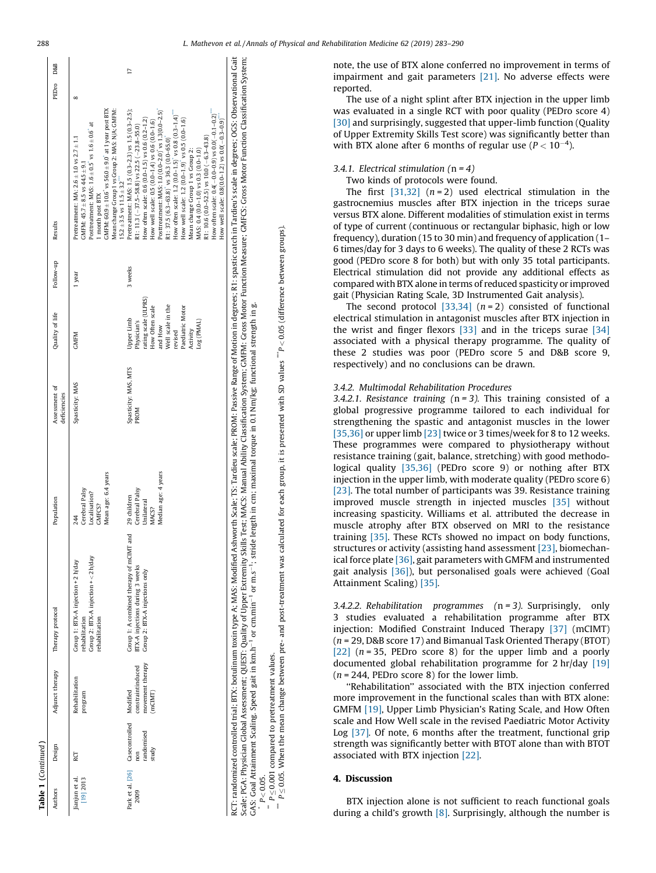<span id="page-5-0"></span>

| Quality of life<br>Assessment of<br>deficiencies                                                                                                                                                    | Population                                                                   | Therapy protocol                                                                                              | Adjunct therapy                                                                              |
|-----------------------------------------------------------------------------------------------------------------------------------------------------------------------------------------------------|------------------------------------------------------------------------------|---------------------------------------------------------------------------------------------------------------|----------------------------------------------------------------------------------------------|
| <b>GMFM</b><br>Spasticity: MAS                                                                                                                                                                      | Mean age: 6.4 years<br>Cerebral Palsy<br>Localisation?<br>GMFCS?<br>244      | Group 2: BTX-A injection + < 2h/day<br>Group 1: BTX-A injection +2 h/day<br>rehabilitation<br>rehabilitation  | Rehabilitation<br>program                                                                    |
| ating scale (ULPRS)<br>Well scale in the<br>How Often scale<br>Paediatric Motor<br>Upper Limb<br>Physician's<br>Log (PMAL)<br>and How<br>Activity<br>revised<br>Spasticity: MAS, MTS<br><b>PROM</b> | Median age: 4 years<br>Cerebral Palsy<br>29 children<br>Unilateral<br>VIACS? | Group 1: A combined therapy of mCIMT and<br>BTX-A injections during 3 weeks<br>Group 2: BTX-A injections only | movement therapy<br>constraintinduced<br>Park et al. [26] Casecontrolled Modified<br>(mCIMT) |

 $P \le 0.05$ . When the mean change between pre- and post-treatment was calculated for each group, it is presented with SD values  $\degree$ P < 0.05 (difference between groups).  $^{**}$  P  $\leq$  0.05. When the mean change between pre- and post-treatment was calculated for each group, it is presented with SD values  $^{**}$ P  $<$  0.05 (difference between groups). GAS: Goal Attainment Scaling. Speed gait in km.h<sup>-1</sup> or cm.min<sup>-1</sup> or m.s<sup>-1</sup>; stride length in cm; maximal torque in 0.1 Nm/kg; functional strength in g.<br>*P* < 0.05.  $*$   $P \leq 0.001$  compared to pretreatment values. pretreatment values  $\overline{c}$  $P \leq 0.001$  compared  $P < 0.05$ .

 $\ddot{\ddot{\imath}}$ 

RCT: randomized controlled trial; BTX: botulinum toxin type A; MAS: Modified Ashworth Scale; TS: Tardieu scale; PROM: Passive Range of Motion in degrees; R1: spastic catch in Tardieu's scale in degrees; OG: Observational G Scale; PGA: Physician Global Assessment; QUEST: Quality of Upper Extremity Skills Test; MACS: Manual Ability Classification System; GMFM: Gross Motor Function Measure; GMFCS: Gross Motor Function Classification System;

CT: randomized controlled trial: BTX: botulinum toxin type A; MAS: Modified Ashworth Scale; TS: Tardieu scale; PROM: Passive Range of Motion in degrees; R1: spastic catch in Tardieu's scale in degrees; OGS: Observational G Scale; PGA: Physician Global Assessment; QUEST: Quality of Upper Extremity Skills Test; MACS: Manual Ability Classification System; GMFN: Gross Motor Function Measure; GMFCS: Gross Motor Function Classification System;<br>GAS

3.4.1. Electrical stimulation  $(n = 4)$ Two kinds of protocols were found. The first  $[31,32]$   $(n=2)$  used electrical stimulation in the gastrocnemius muscles after BTX injection in the triceps surae

versus BTX alone. Different modalities of stimulation exist in terms of type of current (continuous or rectangular biphasic, high or low frequency), duration (15 to 30 min) and frequency of application (1– 6 times/day for 3 days to 6 weeks). The quality of these 2 RCTs was good (PEDro score 8 for both) but with only 35 total participants. Electrical stimulation did not provide any additional effects as compared with BTX alone in terms of reduced spasticity or improved gait (Physician Rating Scale, 3D Instrumented Gait analysis).

note, the use of BTX alone conferred no improvement in terms of impairment and gait parameters [\[21\].](#page-7-0) No adverse effects were

with BTX alone after 6 months of regular use ( $P < 10^{-4}$ ).

The use of a night splint after BTX injection in the upper limb was evaluated in a single RCT with poor quality (PEDro score 4) [\[30\]](#page-7-0) and surprisingly, suggested that upper-limb function (Quality of Upper Extremity Skills Test score) was significantly better than

The second protocol  $[33,34]$   $(n=2)$  consisted of functional electrical stimulation in antagonist muscles after BTX injection in the wrist and finger flexors [\[33\]](#page-7-0) and in the triceps surae [\[34\]](#page-7-0) associated with a physical therapy programme. The quality of these 2 studies was poor (PEDro score 5 and D&B score 9, respectively) and no conclusions can be drawn.

## 3.4.2. Multimodal Rehabilitation Procedures

3.4.2.1. Resistance training  $(n = 3)$ . This training consisted of a global progressive programme tailored to each individual for strengthening the spastic and antagonist muscles in the lower [\[35,36\]](#page-7-0) or upper limb [\[23\]](#page-7-0) twice or 3 times/week for 8 to 12 weeks. These programmes were compared to physiotherapy without resistance training (gait, balance, stretching) with good methodological quality [\[35,36\]](#page-7-0) (PEDro score 9) or nothing after BTX injection in the upper limb, with moderate quality (PEDro score 6) [\[23\]](#page-7-0). The total number of participants was 39. Resistance training improved muscle strength in injected muscles [\[35\]](#page-7-0) without increasing spasticity. Williams et al. attributed the decrease in muscle atrophy after BTX observed on MRI to the resistance training [\[35\]](#page-7-0). These RCTs showed no impact on body functions, structures or activity (assisting hand assessment [\[23\]](#page-7-0), biomechanical force plate [\[36\],](#page-7-0) gait parameters with GMFM and instrumented gait analysis [\[36\]](#page-7-0)), but personalised goals were achieved (Goal Attainment Scaling) [\[35\]](#page-7-0).

3.4.2.2. Rehabilitation programmes  $(n = 3)$ . Surprisingly, only 3 studies evaluated a rehabilitation programme after BTX injection: Modified Constraint Induced Therapy [\[37\]](#page-7-0) (mCIMT) (n = 29, D&B score 17) and Bimanual Task Oriented Therapy (BTOT) [\[22\]](#page-7-0)  $(n = 35,$  PEDro score 8) for the upper limb and a poorly documented global rehabilitation programme for 2 hr/day [\[19\]](#page-7-0)  $(n = 244,$  PEDro score 8) for the lower limb.

''Rehabilitation'' associated with the BTX injection conferred more improvement in the functional scales than with BTX alone: GMFM [\[19\],](#page-7-0) Upper Limb Physician's Rating Scale, and How Often scale and How Well scale in the revised Paediatric Motor Activity Log [\[37\]](#page-7-0). Of note, 6 months after the treatment, functional grip strength was significantly better with BTOT alone than with BTOT associated with BTX injection [\[22\]](#page-7-0).

## 4. Discussion

BTX injection alone is not sufficient to reach functional goals during a child's growth  $[8]$ . Surprisingly, although the number is

reported.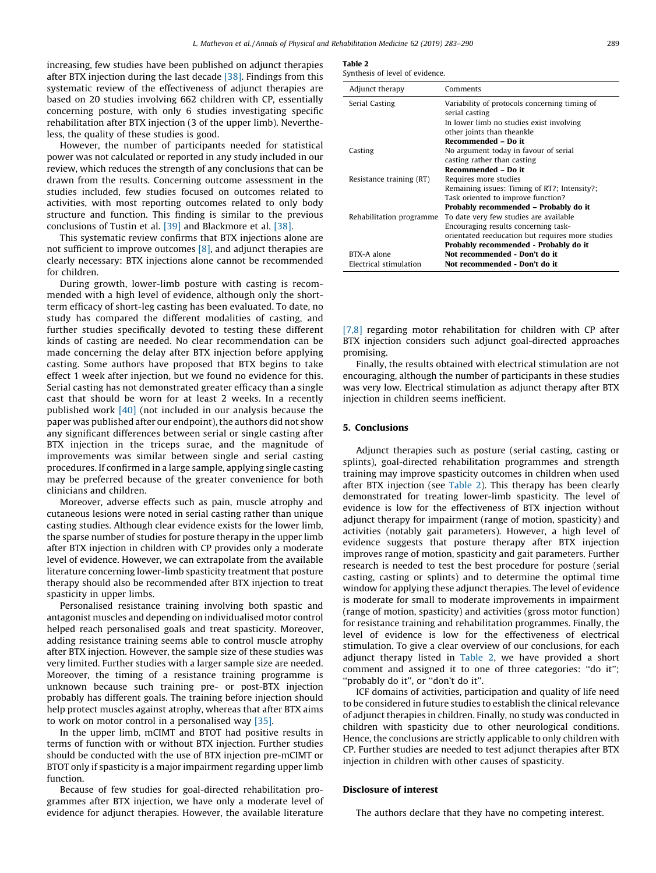increasing, few studies have been published on adjunct therapies after BTX injection during the last decade [\[38\]](#page-7-0). Findings from this systematic review of the effectiveness of adjunct therapies are based on 20 studies involving 662 children with CP, essentially concerning posture, with only 6 studies investigating specific rehabilitation after BTX injection (3 of the upper limb). Nevertheless, the quality of these studies is good.

However, the number of participants needed for statistical power was not calculated or reported in any study included in our review, which reduces the strength of any conclusions that can be drawn from the results. Concerning outcome assessment in the studies included, few studies focused on outcomes related to activities, with most reporting outcomes related to only body structure and function. This finding is similar to the previous conclusions of Tustin et al. [\[39\]](#page-7-0) and Blackmore et al. [\[38\].](#page-7-0)

This systematic review confirms that BTX injections alone are not sufficient to improve outcomes [\[8\]](#page-7-0), and adjunct therapies are clearly necessary: BTX injections alone cannot be recommended for children.

During growth, lower-limb posture with casting is recommended with a high level of evidence, although only the shortterm efficacy of short-leg casting has been evaluated. To date, no study has compared the different modalities of casting, and further studies specifically devoted to testing these different kinds of casting are needed. No clear recommendation can be made concerning the delay after BTX injection before applying casting. Some authors have proposed that BTX begins to take effect 1 week after injection, but we found no evidence for this. Serial casting has not demonstrated greater efficacy than a single cast that should be worn for at least 2 weeks. In a recently published work [\[40\]](#page-7-0) (not included in our analysis because the paper was published after our endpoint), the authors did not show any significant differences between serial or single casting after BTX injection in the triceps surae, and the magnitude of improvements was similar between single and serial casting procedures. If confirmed in a large sample, applying single casting may be preferred because of the greater convenience for both clinicians and children.

Moreover, adverse effects such as pain, muscle atrophy and cutaneous lesions were noted in serial casting rather than unique casting studies. Although clear evidence exists for the lower limb, the sparse number of studies for posture therapy in the upper limb after BTX injection in children with CP provides only a moderate level of evidence. However, we can extrapolate from the available literature concerning lower-limb spasticity treatment that posture therapy should also be recommended after BTX injection to treat spasticity in upper limbs.

Personalised resistance training involving both spastic and antagonist muscles and depending on individualised motor control helped reach personalised goals and treat spasticity. Moreover, adding resistance training seems able to control muscle atrophy after BTX injection. However, the sample size of these studies was very limited. Further studies with a larger sample size are needed. Moreover, the timing of a resistance training programme is unknown because such training pre- or post-BTX injection probably has different goals. The training before injection should help protect muscles against atrophy, whereas that after BTX aims to work on motor control in a personalised way [\[35\].](#page-7-0)

In the upper limb, mCIMT and BTOT had positive results in terms of function with or without BTX injection. Further studies should be conducted with the use of BTX injection pre-mCIMT or BTOT only if spasticity is a major impairment regarding upper limb function.

Because of few studies for goal-directed rehabilitation programmes after BTX injection, we have only a moderate level of evidence for adjunct therapies. However, the available literature

Table 2

| Synthesis of level of evidence. |  |
|---------------------------------|--|
|---------------------------------|--|

| Adjunct therapy          | Comments                                                        |
|--------------------------|-----------------------------------------------------------------|
| Serial Casting           | Variability of protocols concerning timing of<br>serial casting |
|                          | In lower limb no studies exist involving                        |
|                          | other joints than theankle                                      |
|                          | Recommended - Do it                                             |
| Casting                  | No argument today in favour of serial                           |
|                          | casting rather than casting                                     |
|                          | Recommended - Do it                                             |
| Resistance training (RT) | Requires more studies                                           |
|                          | Remaining issues: Timing of RT?; Intensity?;                    |
|                          | Task oriented to improve function?                              |
|                          | Probably recommended – Probably do it                           |
| Rehabilitation programme | To date very few studies are available                          |
|                          | Encouraging results concerning task-                            |
|                          | orientated reeducation but requires more studies                |
|                          | Probably recommended - Probably do it                           |
| BTX-A alone              | Not recommended - Don't do it                                   |
| Electrical stimulation   | Not recommended - Don't do it                                   |

[\[7,8\]](#page-7-0) regarding motor rehabilitation for children with CP after BTX injection considers such adjunct goal-directed approaches promising.

Finally, the results obtained with electrical stimulation are not encouraging, although the number of participants in these studies was very low. Electrical stimulation as adjunct therapy after BTX injection in children seems inefficient.

#### 5. Conclusions

Adjunct therapies such as posture (serial casting, casting or splints), goal-directed rehabilitation programmes and strength training may improve spasticity outcomes in children when used after BTX injection (see Table 2). This therapy has been clearly demonstrated for treating lower-limb spasticity. The level of evidence is low for the effectiveness of BTX injection without adjunct therapy for impairment (range of motion, spasticity) and activities (notably gait parameters). However, a high level of evidence suggests that posture therapy after BTX injection improves range of motion, spasticity and gait parameters. Further research is needed to test the best procedure for posture (serial casting, casting or splints) and to determine the optimal time window for applying these adjunct therapies. The level of evidence is moderate for small to moderate improvements in impairment (range of motion, spasticity) and activities (gross motor function) for resistance training and rehabilitation programmes. Finally, the level of evidence is low for the effectiveness of electrical stimulation. To give a clear overview of our conclusions, for each adjunct therapy listed in Table 2, we have provided a short comment and assigned it to one of three categories: ''do it''; ''probably do it'', or ''don't do it''.

ICF domains of activities, participation and quality of life need to be considered in future studies to establish the clinical relevance of adjunct therapies in children. Finally, no study was conducted in children with spasticity due to other neurological conditions. Hence, the conclusions are strictly applicable to only children with CP. Further studies are needed to test adjunct therapies after BTX injection in children with other causes of spasticity.

#### Disclosure of interest

The authors declare that they have no competing interest.